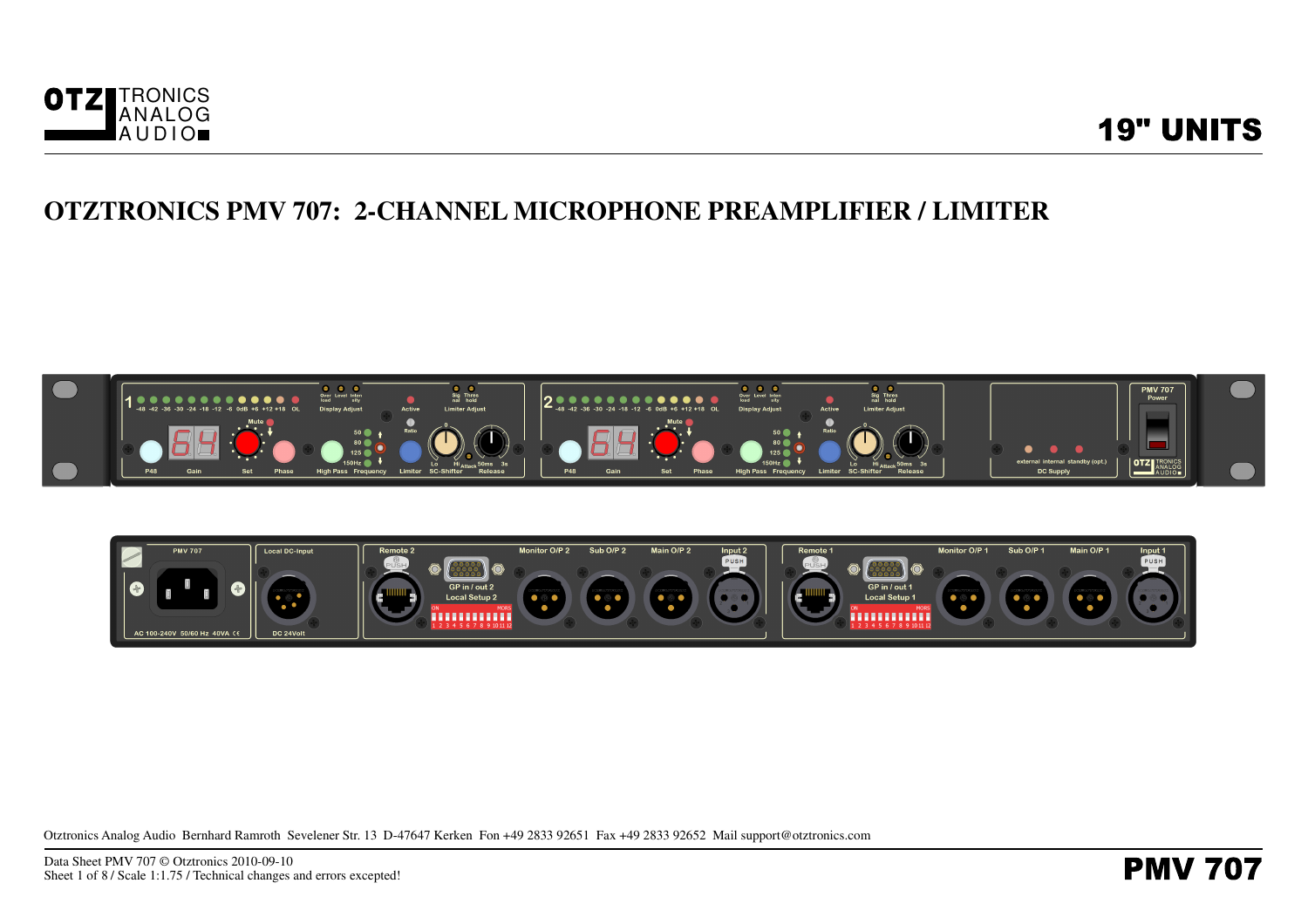





Otztronics Analog Audio Bernhard Ramroth Sevelener Str. 13 D-47647 Kerken Fon +49 2833 92651 Fax +49 2833 92652 Mail support@otztronics.com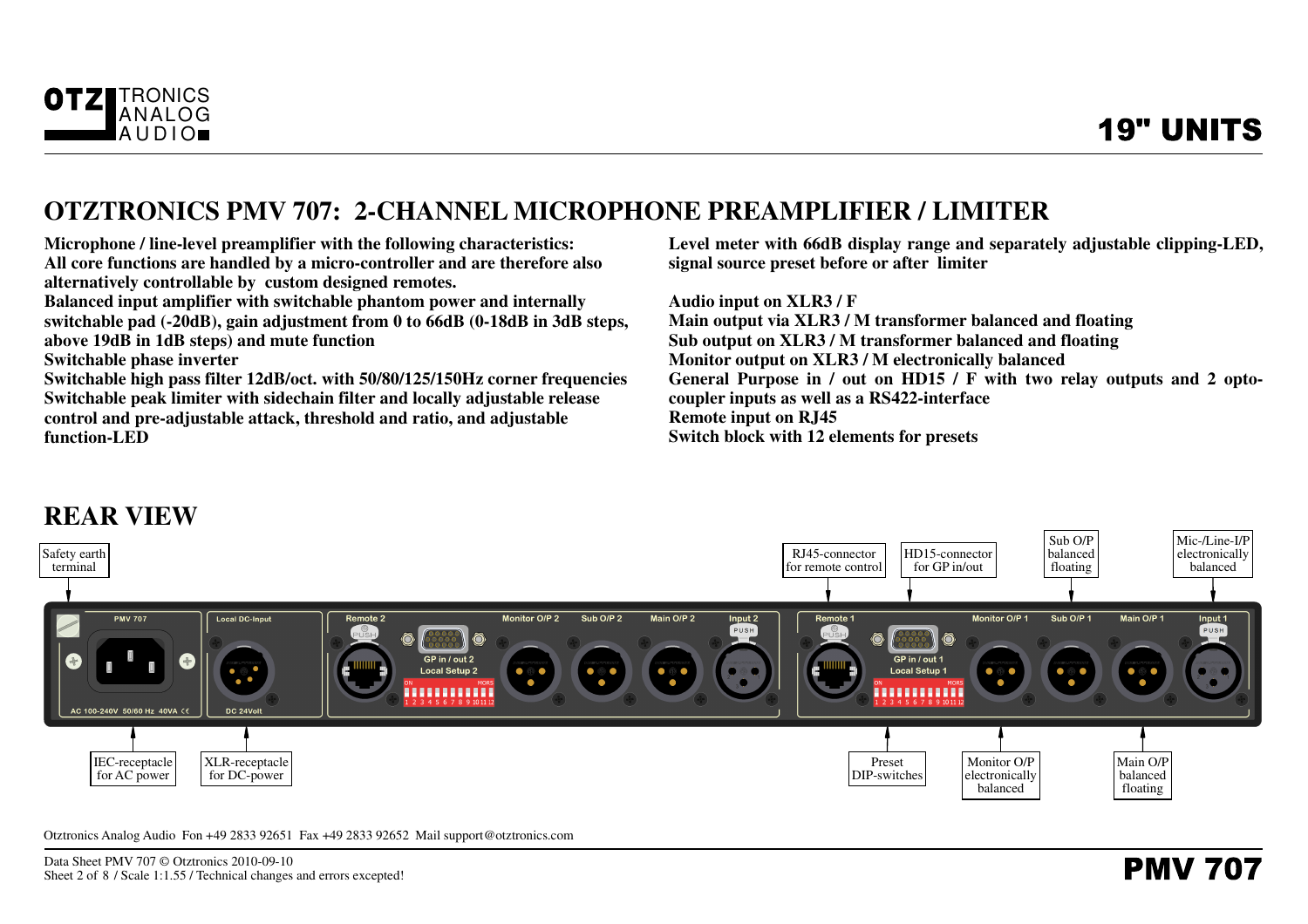

**Microphone / line-level preamplifier with the following characteristics: All core functions are handled by a micro-controller and are therefore alsoalternatively controllable by custom designed remotes.**

 **Balanced input amplifier with switchable phantom power and internally switchable pad (-20dB), gain adjustment from 0 to 66dB (0-18dB in 3dB steps,above 19dB in 1dB steps) and mute function**

**Switchable phase inverter**

 **Switchable high pass filter 12dB/oct. with 50/80/125/150Hz corner frequenciesSwitchable peak limiter with sidechain filter and locally adjustable releasecontrol and pre-adjustable attack, threshold and ratio, and adjustablefunction-LED**

 **Level meter with 66dB display range and separately adjustable clipping-LED,signal source preset before or after limiter**

**Audio input on XLR3 / F Main output via XLR3 / M transformer balanced and floatingSub output on XLR3 / M transformer balanced and floatingMonitor output on XLR3 / M electronically balanced General Purpose in / out on HD15 / F with two relay outputs and 2 optocoupler inputs as well as a RS422-interfaceRemote input on RJ45Switch block with 12 elements for presets**

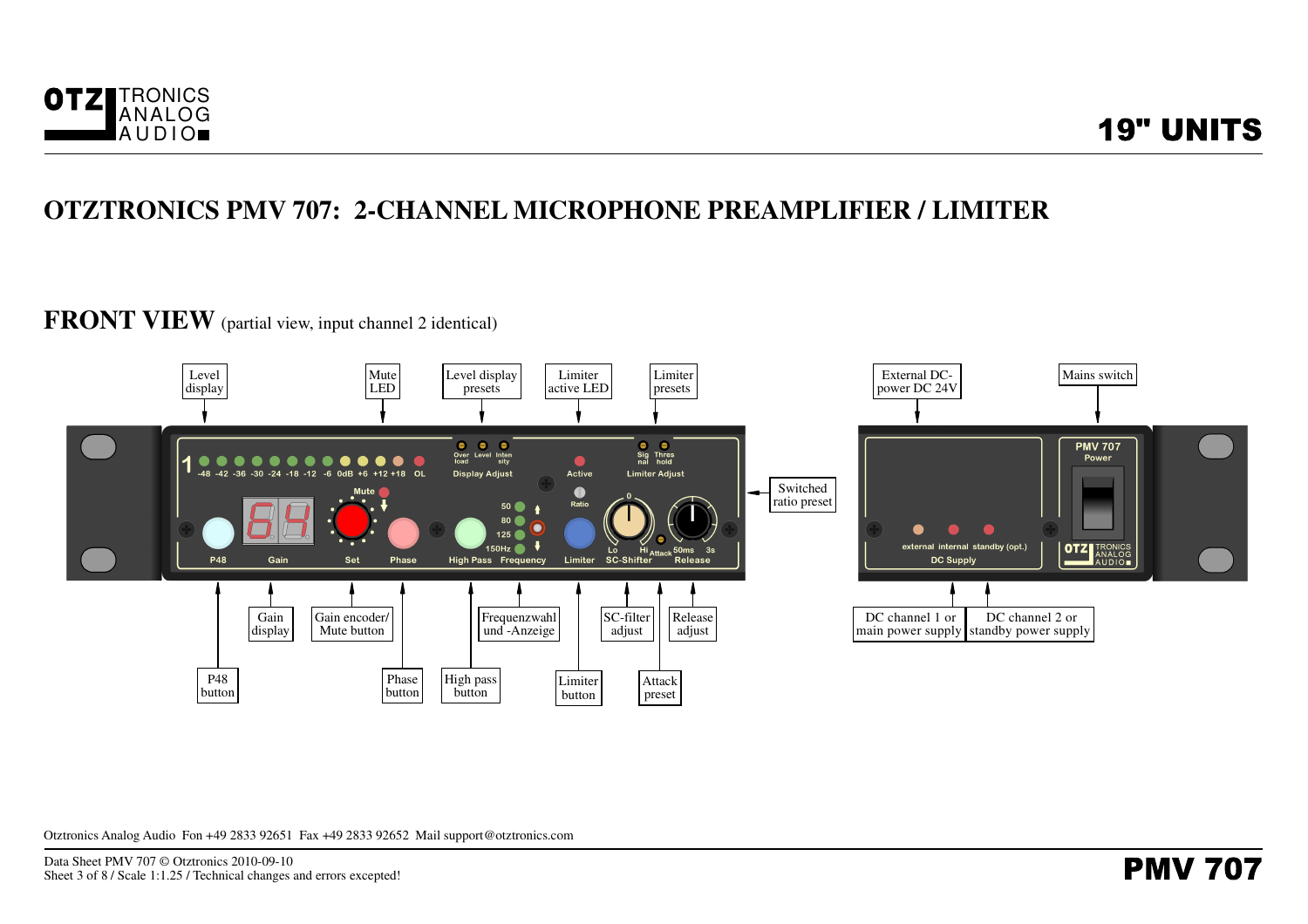

# **FRONT VIEW** (partial view, input channel 2 identical)

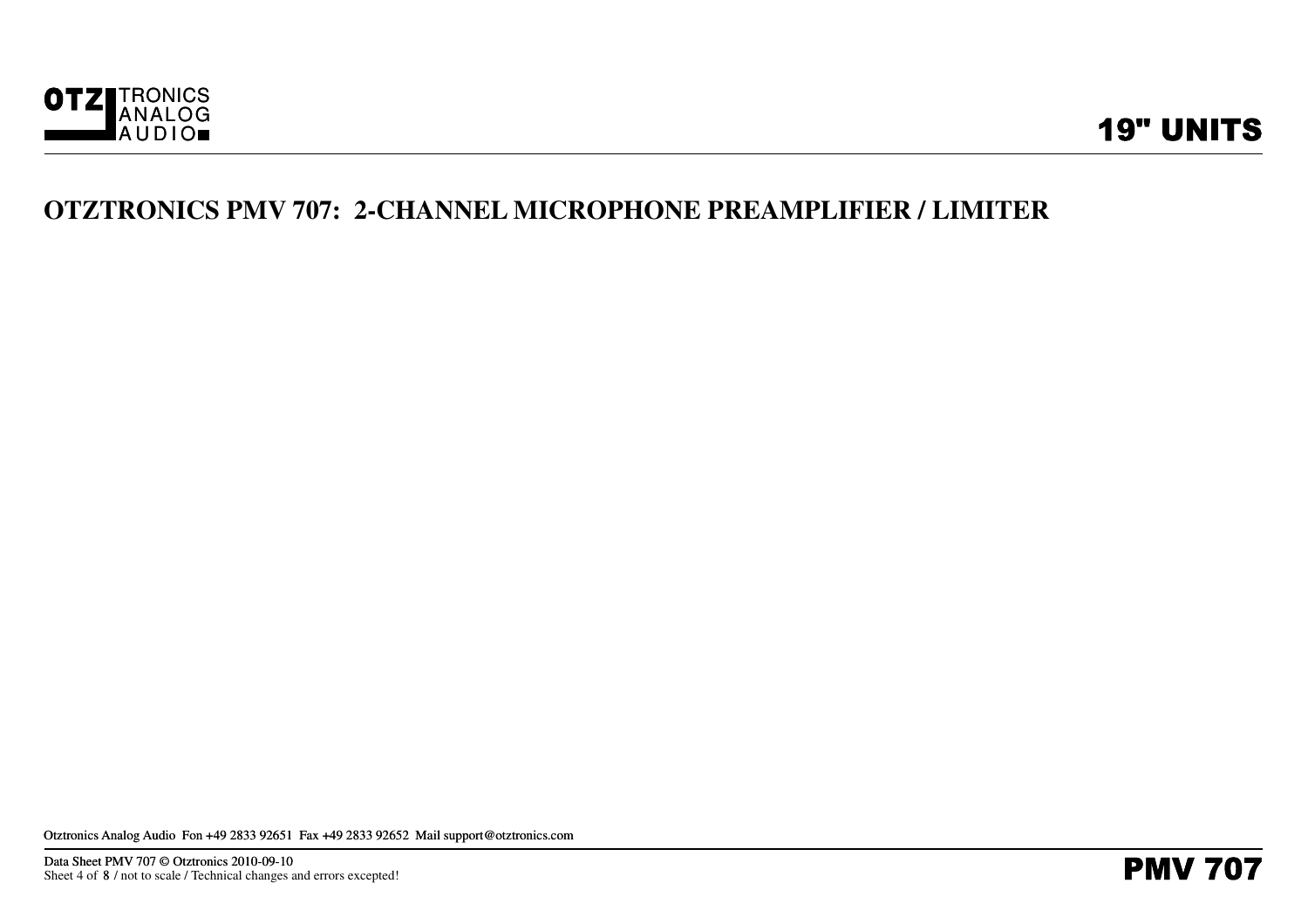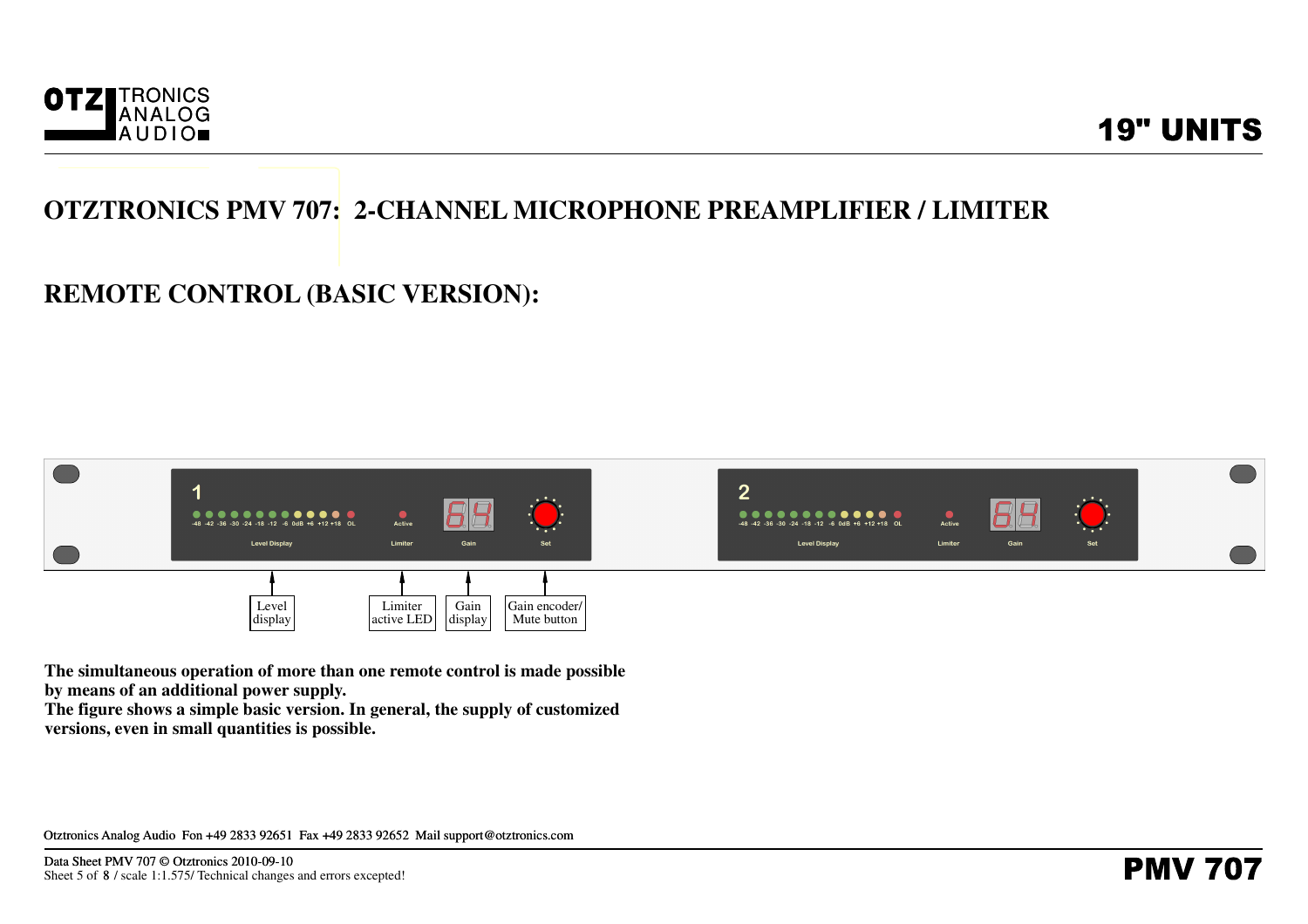

### **REMOTE CONTROL (BASIC VERSION):**



**The simultaneous operation of more than one remote control is made possibleby means of an additional power supply.**

 **The figure shows a simple basic version. In general, the supply of customizedversions, even in small quantities is possible.**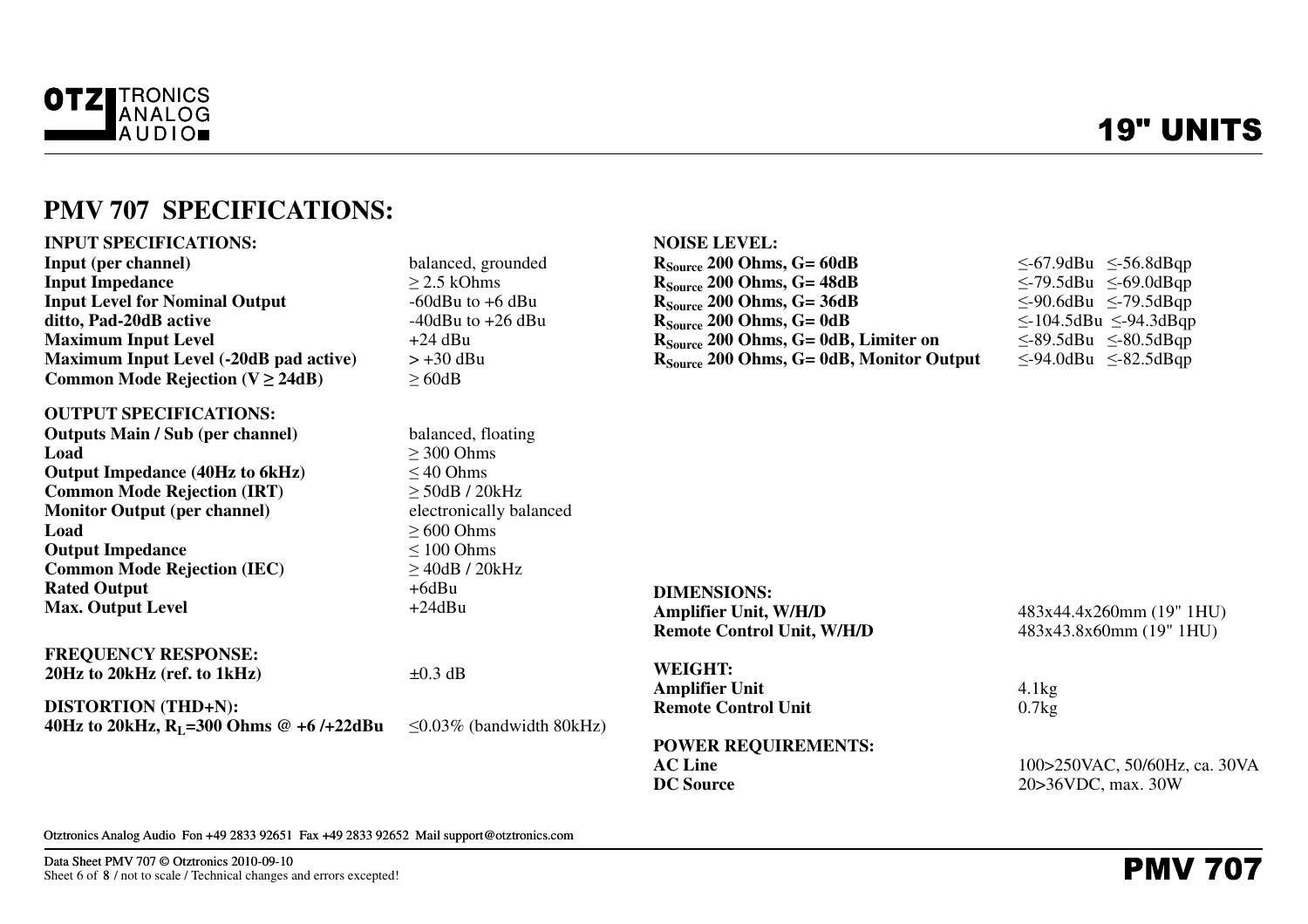

# **19" UNITS**

### **PMV 707 SPECIFICATIONS:**

| <b>INPUT SPECIFICATIONS:</b>                  |                                | <b>NOISE LEVEL:</b>                              |                                   |
|-----------------------------------------------|--------------------------------|--------------------------------------------------|-----------------------------------|
| <b>Input (per channel)</b>                    | balanced, grounded             | $R_{Source}$ 200 Ohms, G= 60dB                   | $\leq$ -67.9dBu $\leq$ -56.8dBqp  |
| <b>Input Impedance</b>                        | $\geq$ 2.5 kOhms               | $R_{Source}$ 200 Ohms, G= 48dB                   | $\leq$ -79.5dBu $\leq$ -69.0dBqp  |
| <b>Input Level for Nominal Output</b>         | $-60$ dBu to $+6$ dBu          | $R_{Source}$ 200 Ohms, G= 36dB                   | $\leq$ -90.6dBu $\leq$ -79.5dBqp  |
| ditto, Pad-20dB active                        | $-40$ dBu to $+26$ dBu         | $R_{Source}$ 200 Ohms, G= 0dB                    | $\leq$ -104.5dBu $\leq$ -94.3dBqp |
| <b>Maximum Input Level</b>                    | $+24$ dBu                      | R <sub>Source</sub> 200 Ohms, G= 0dB, Limiter on | $\leq$ -89.5dBu $\leq$ -80.5dBqp  |
| <b>Maximum Input Level (-20dB pad active)</b> | $> +30$ dBu                    | $R_{Source}$ 200 Ohms, G= 0dB, Monitor Output    | $\leq$ -94.0dBu $\leq$ -82.5dBqp  |
| Common Mode Rejection ( $V \ge 24dB$ )        | $\geq 60$ dB                   |                                                  |                                   |
| <b>OUTPUT SPECIFICATIONS:</b>                 |                                |                                                  |                                   |
| <b>Outputs Main / Sub (per channel)</b>       | balanced, floating             |                                                  |                                   |
| Load                                          | $\geq$ 300 Ohms                |                                                  |                                   |
| <b>Output Impedance (40Hz to 6kHz)</b>        | $\leq$ 40 Ohms                 |                                                  |                                   |
| <b>Common Mode Rejection (IRT)</b>            | $\geq$ 50dB / 20kHz            |                                                  |                                   |
| <b>Monitor Output (per channel)</b>           | electronically balanced        |                                                  |                                   |
| Load                                          | $\geq 600$ Ohms                |                                                  |                                   |
| <b>Output Impedance</b>                       | $\leq 100$ Ohms                |                                                  |                                   |
| <b>Common Mode Rejection (IEC)</b>            | $>$ 40dB / 20kHz               |                                                  |                                   |
| <b>Rated Output</b>                           | $+6$ dBu                       | <b>DIMENSIONS:</b>                               |                                   |
| <b>Max. Output Level</b>                      | $+24dBu$                       | <b>Amplifier Unit, W/H/D</b>                     | 483x44.4x260mm (19" 1HU)          |
|                                               |                                | <b>Remote Control Unit, W/H/D</b>                | 483x43.8x60mm (19" 1HU)           |
| <b>FREQUENCY RESPONSE:</b>                    |                                |                                                  |                                   |
| $20Hz$ to $20kHz$ (ref. to $1kHz$ )           | $\pm 0.3$ dB                   | <b>WEIGHT:</b>                                   |                                   |
|                                               |                                | <b>Amplifier Unit</b>                            | 4.1kg                             |
| <b>DISTORTION (THD+N):</b>                    |                                | <b>Remote Control Unit</b>                       | 0.7kg                             |
| 40Hz to 20kHz, $R_1 = 300$ Ohms @ +6/+22dBu   | $\leq$ 0.03% (bandwidth 80kHz) |                                                  |                                   |
|                                               |                                | <b>POWER REQUIREMENTS:</b>                       |                                   |
|                                               |                                | <b>AC Line</b>                                   | 100>250VAC, 50/60Hz, ca. 30VA     |
|                                               |                                | <b>DC</b> Source                                 | 20>36VDC, max. 30W                |
|                                               |                                |                                                  |                                   |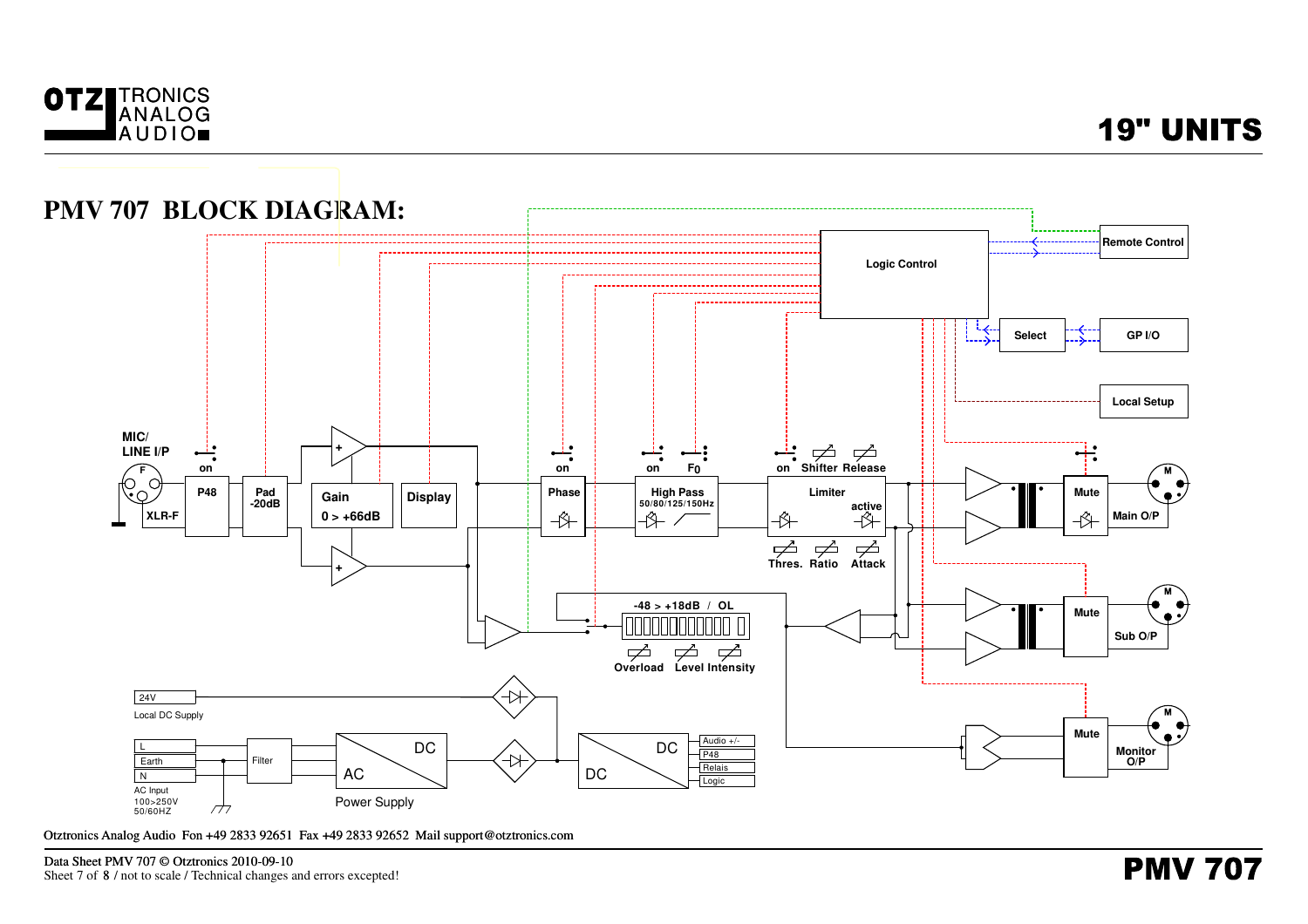



Otztronics Analog Audio Fon +49 2833 92651 Fax +49 2833 92652 Mail support@otztronics.com